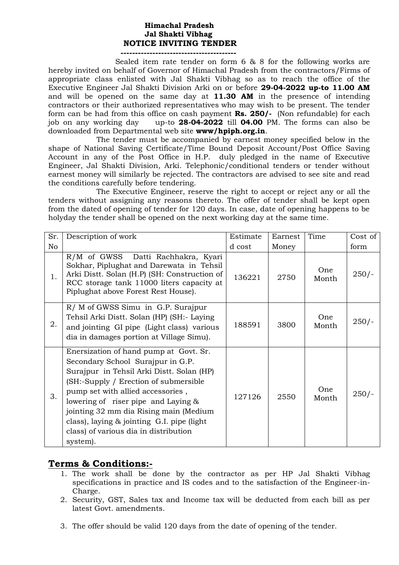## **Himachal Pradesh Jal Shakti Vibhag NOTICE INVITING TENDER ----------------------------------------**

 Sealed item rate tender on form 6 & 8 for the following works are hereby invited on behalf of Governor of Himachal Pradesh from the contractors/Firms of appropriate class enlisted with Jal Shakti Vibhag so as to reach the office of the Executive Engineer Jal Shakti Division Arki on or before **29-04-2022 up-to 11.00 AM**  and will be opened on the same day at **11.30 AM** in the presence of intending contractors or their authorized representatives who may wish to be present. The tender form can be had from this office on cash payment **Rs. 250/-** (Non refundable) for each job on any working day up-to **28-04-2022** till **04.00** PM. The forms can also be downloaded from Departmental web site **www/hpiph.org.in**.

The tender must be accompanied by earnest money specified below in the shape of National Saving Certificate/Time Bound Deposit Account/Post Office Saving Account in any of the Post Office in H.P. duly pledged in the name of Executive Engineer, Jal Shakti Division, Arki. Telephonic/conditional tenders or tender without earnest money will similarly be rejected. The contractors are advised to see site and read the conditions carefully before tendering.

The Executive Engineer, reserve the right to accept or reject any or all the tenders without assigning any reasons thereto. The offer of tender shall be kept open from the dated of opening of tender for 120 days. In case, date of opening happens to be holyday the tender shall be opened on the next working day at the same time.

| Sr. | Description of work                                                                                                                                                                                                                                                                                                                                                                             | Estimate | Earnest | Time         | Cost of |
|-----|-------------------------------------------------------------------------------------------------------------------------------------------------------------------------------------------------------------------------------------------------------------------------------------------------------------------------------------------------------------------------------------------------|----------|---------|--------------|---------|
| No  |                                                                                                                                                                                                                                                                                                                                                                                                 | d cost   | Money   |              | form    |
| 1.  | R/M of GWSS Datti Rachhakra, Kyari<br>Sokhar, Piplughat and Darewata in Tehsil<br>Arki Distt. Solan (H.P) (SH: Construction of<br>RCC storage tank 11000 liters capacity at<br>Piplughat above Forest Rest House).                                                                                                                                                                              | 136221   | 2750    | One<br>Month | $250/-$ |
| 2.  | R/M of GWSS Simu in G.P. Surajpur<br>Tehsil Arki Distt. Solan (HP) (SH:- Laying<br>and jointing GI pipe (Light class) various<br>dia in damages portion at Village Simu).                                                                                                                                                                                                                       | 188591   | 3800    | One<br>Month | $250/-$ |
| 3.  | Enersization of hand pump at Govt. Sr.<br>Secondary School Surajpur in G.P.<br>Surajpur in Tehsil Arki Distt. Solan (HP)<br>(SH:-Supply / Erection of submersible)<br>pump set with allied accessories,<br>lowering of riser pipe and Laying &<br>jointing 32 mm dia Rising main (Medium<br>class), laying $\&$ jointing G.I. pipe (light)<br>class) of various dia in distribution<br>system). | 127126   | 2550    | One<br>Month | $250/-$ |

## **Terms & Conditions:-**

- 1. The work shall be done by the contractor as per HP Jal Shakti Vibhag specifications in practice and IS codes and to the satisfaction of the Engineer-in-Charge.
- 2. Security, GST, Sales tax and Income tax will be deducted from each bill as per latest Govt. amendments.
- 3. The offer should be valid 120 days from the date of opening of the tender.